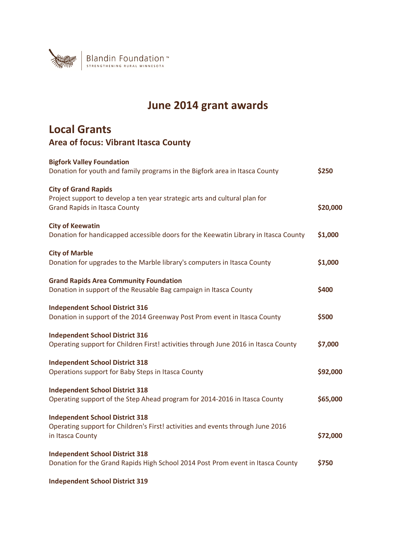

## **June 2014 grant awards**

## **Local Grants Area of focus: Vibrant Itasca County**

| <b>Bigfork Valley Foundation</b><br>Donation for youth and family programs in the Bigfork area in Itasca County                                   | \$250    |
|---------------------------------------------------------------------------------------------------------------------------------------------------|----------|
| <b>City of Grand Rapids</b><br>Project support to develop a ten year strategic arts and cultural plan for<br><b>Grand Rapids in Itasca County</b> | \$20,000 |
| <b>City of Keewatin</b><br>Donation for handicapped accessible doors for the Keewatin Library in Itasca County                                    | \$1,000  |
| <b>City of Marble</b><br>Donation for upgrades to the Marble library's computers in Itasca County                                                 | \$1,000  |
| <b>Grand Rapids Area Community Foundation</b><br>Donation in support of the Reusable Bag campaign in Itasca County                                | \$400    |
| <b>Independent School District 316</b><br>Donation in support of the 2014 Greenway Post Prom event in Itasca County                               | \$500    |
| <b>Independent School District 316</b><br>Operating support for Children First! activities through June 2016 in Itasca County                     | \$7,000  |
| <b>Independent School District 318</b><br>Operations support for Baby Steps in Itasca County                                                      | \$92,000 |
| <b>Independent School District 318</b><br>Operating support of the Step Ahead program for 2014-2016 in Itasca County                              | \$65,000 |
| <b>Independent School District 318</b><br>Operating support for Children's First! activities and events through June 2016<br>in Itasca County     | \$72,000 |
| <b>Independent School District 318</b><br>Donation for the Grand Rapids High School 2014 Post Prom event in Itasca County                         | \$750    |
| <b>Independent School District 319</b>                                                                                                            |          |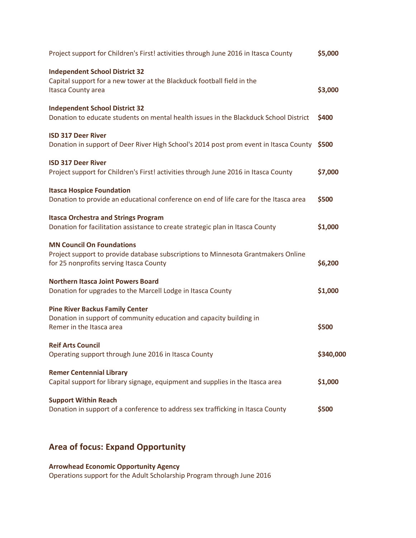| Project support for Children's First! activities through June 2016 in Itasca County                                                                              | \$5,000   |
|------------------------------------------------------------------------------------------------------------------------------------------------------------------|-----------|
| <b>Independent School District 32</b><br>Capital support for a new tower at the Blackduck football field in the<br>Itasca County area                            | \$3,000   |
| <b>Independent School District 32</b><br>Donation to educate students on mental health issues in the Blackduck School District                                   | \$400     |
| <b>ISD 317 Deer River</b><br>Donation in support of Deer River High School's 2014 post prom event in Itasca County \$500                                         |           |
| <b>ISD 317 Deer River</b><br>Project support for Children's First! activities through June 2016 in Itasca County                                                 | \$7,000   |
| <b>Itasca Hospice Foundation</b><br>Donation to provide an educational conference on end of life care for the Itasca area                                        | \$500     |
| <b>Itasca Orchestra and Strings Program</b><br>Donation for facilitation assistance to create strategic plan in Itasca County                                    | \$1,000   |
| <b>MN Council On Foundations</b><br>Project support to provide database subscriptions to Minnesota Grantmakers Online<br>for 25 nonprofits serving Itasca County | \$6,200   |
| <b>Northern Itasca Joint Powers Board</b><br>Donation for upgrades to the Marcell Lodge in Itasca County                                                         | \$1,000   |
| <b>Pine River Backus Family Center</b><br>Donation in support of community education and capacity building in<br>Remer in the Itasca area                        | \$500     |
| <b>Reif Arts Council</b><br>Operating support through June 2016 in Itasca County                                                                                 | \$340,000 |
| <b>Remer Centennial Library</b><br>Capital support for library signage, equipment and supplies in the Itasca area                                                | \$1,000   |
| <b>Support Within Reach</b><br>Donation in support of a conference to address sex trafficking in Itasca County                                                   | \$500     |

## **Area of focus: Expand Opportunity**

**Arrowhead Economic Opportunity Agency**  Operations support for the Adult Scholarship Program through June 2016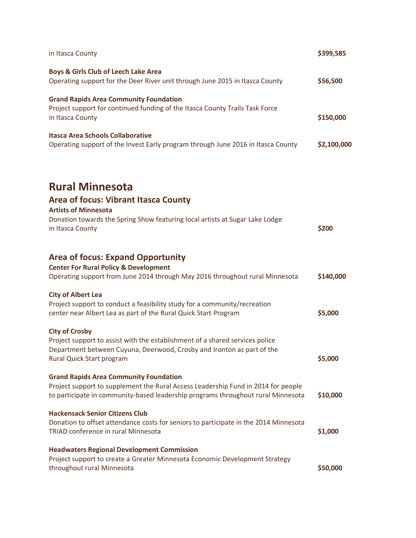| in Itasca County                                                                                                                                                      | \$399,585   |
|-----------------------------------------------------------------------------------------------------------------------------------------------------------------------|-------------|
| Boys & Girls Club of Leech Lake Area<br>Operating support for the Deer River unit through June 2015 in Itasca County                                                  | \$56,500    |
|                                                                                                                                                                       |             |
| <b>Grand Rapids Area Community Foundation</b>                                                                                                                         |             |
| Project support for continued funding of the Itasca County Trails Task Force<br>in Itasca County                                                                      | \$150,000   |
|                                                                                                                                                                       |             |
| <b>Itasca Area Schools Collaborative</b><br>Operating support of the Invest Early program through June 2016 in Itasca County                                          | \$2,100,000 |
|                                                                                                                                                                       |             |
| <b>Rural Minnesota</b>                                                                                                                                                |             |
| Area of focus: Vibrant Itasca County                                                                                                                                  |             |
| <b>Artists of Minnesota</b>                                                                                                                                           |             |
| Donation towards the Spring Show featuring local artists at Sugar Lake Lodge<br>in Itasca County                                                                      | \$200       |
|                                                                                                                                                                       |             |
| <b>Area of focus: Expand Opportunity</b>                                                                                                                              |             |
| <b>Center For Rural Policy &amp; Development</b>                                                                                                                      |             |
| Operating support from June 2014 through May 2016 throughout rural Minnesota                                                                                          | \$140,000   |
| <b>City of Albert Lea</b>                                                                                                                                             |             |
| Project support to conduct a feasibility study for a community/recreation                                                                                             |             |
| center near Albert Lea as part of the Rural Quick Start Program                                                                                                       | \$5,000     |
| <b>City of Crosby</b>                                                                                                                                                 |             |
| Project support to assist with the establishment of a shared services police                                                                                          |             |
| Department between Cuyuna, Deerwood, Crosby and Ironton as part of the<br>Rural Quick Start program                                                                   | \$5,000     |
|                                                                                                                                                                       |             |
| <b>Grand Rapids Area Community Foundation</b>                                                                                                                         |             |
| Project support to supplement the Rural Access Leadership Fund in 2014 for people<br>to participate in community-based leadership programs throughout rural Minnesota | \$10,000    |
|                                                                                                                                                                       |             |
| <b>Hackensack Senior Citizens Club</b>                                                                                                                                |             |
| Donation to offset attendance costs for seniors to participate in the 2014 Minnesota<br>TRIAD conference in rural Minnesota                                           | \$1,000     |
|                                                                                                                                                                       |             |
| <b>Headwaters Regional Development Commission</b>                                                                                                                     |             |
| Project support to create a Greater Minnesota Economic Development Strategy<br>throughout rural Minnesota                                                             | \$50,000    |
|                                                                                                                                                                       |             |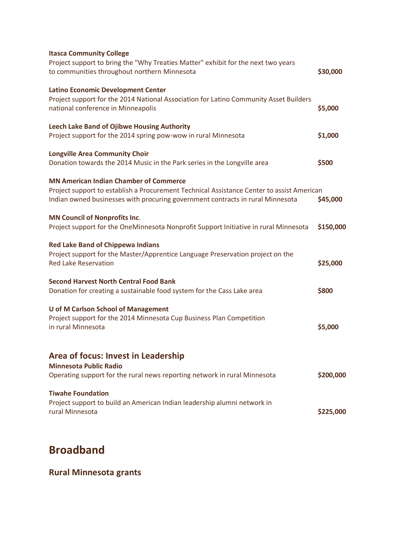| <b>Itasca Community College</b><br>Project support to bring the "Why Treaties Matter" exhibit for the next two years<br>to communities throughout northern Minnesota                                                         | \$30,000  |
|------------------------------------------------------------------------------------------------------------------------------------------------------------------------------------------------------------------------------|-----------|
| <b>Latino Economic Development Center</b><br>Project support for the 2014 National Association for Latino Community Asset Builders<br>national conference in Minneapolis                                                     | \$5,000   |
| Leech Lake Band of Ojibwe Housing Authority<br>Project support for the 2014 spring pow-wow in rural Minnesota                                                                                                                | \$1,000   |
| <b>Longville Area Community Choir</b><br>Donation towards the 2014 Music in the Park series in the Longville area                                                                                                            | \$500     |
| <b>MN American Indian Chamber of Commerce</b><br>Project support to establish a Procurement Technical Assistance Center to assist American<br>Indian owned businesses with procuring government contracts in rural Minnesota | \$45,000  |
| <b>MN Council of Nonprofits Inc.</b><br>Project support for the OneMinnesota Nonprofit Support Initiative in rural Minnesota                                                                                                 | \$150,000 |
| <b>Red Lake Band of Chippewa Indians</b><br>Project support for the Master/Apprentice Language Preservation project on the<br><b>Red Lake Reservation</b>                                                                    | \$25,000  |
| <b>Second Harvest North Central Food Bank</b><br>Donation for creating a sustainable food system for the Cass Lake area                                                                                                      | \$800     |
| <b>U of M Carlson School of Management</b><br>Project support for the 2014 Minnesota Cup Business Plan Competition<br>in rural Minnesota                                                                                     | \$5,000   |
| Area of focus: Invest in Leadership<br><b>Minnesota Public Radio</b><br>Operating support for the rural news reporting network in rural Minnesota                                                                            | \$200,000 |
| <b>Tiwahe Foundation</b><br>Project support to build an American Indian leadership alumni network in<br>rural Minnesota                                                                                                      | \$225,000 |
|                                                                                                                                                                                                                              |           |

## **Broadband**

**Rural Minnesota grants**